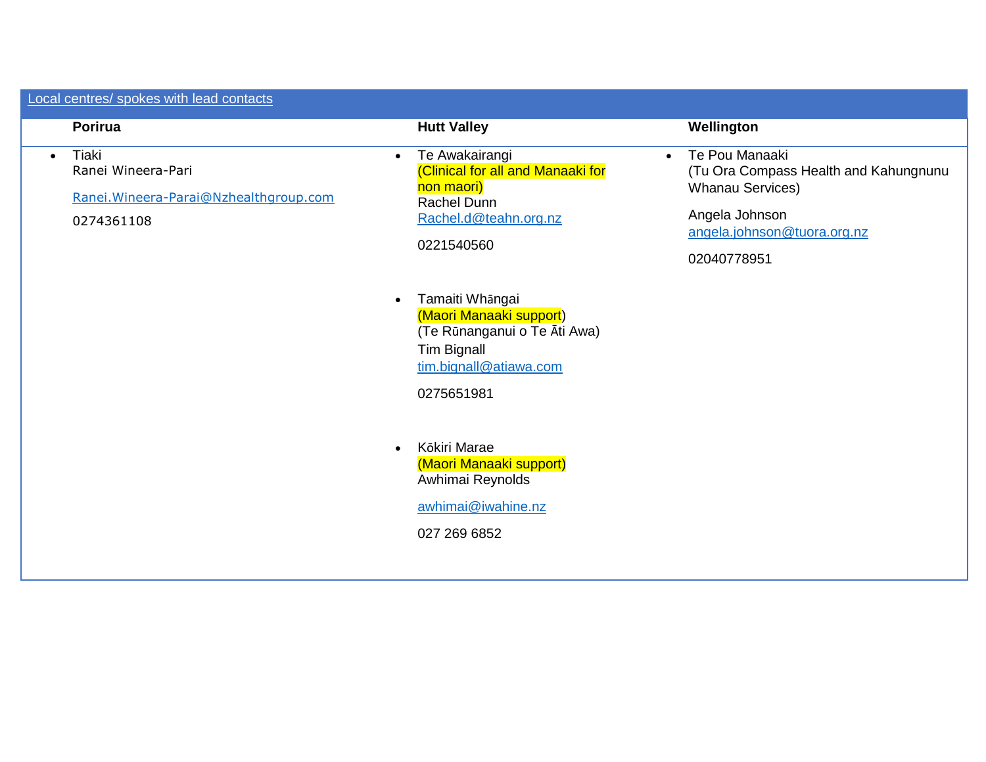| Local centres/ spokes with lead contacts                                                         |                                                                                                                                                |                                                                                                                                                                 |
|--------------------------------------------------------------------------------------------------|------------------------------------------------------------------------------------------------------------------------------------------------|-----------------------------------------------------------------------------------------------------------------------------------------------------------------|
| Porirua                                                                                          | <b>Hutt Valley</b>                                                                                                                             | Wellington                                                                                                                                                      |
| Tiaki<br>$\bullet$<br>Ranei Wineera-Pari<br>Ranei. Wineera-Parai@Nzhealthgroup.com<br>0274361108 | Te Awakairangi<br>$\bullet$<br>(Clinical for all and Manaaki for<br>non maori)<br>Rachel Dunn<br>Rachel.d@teahn.org.nz<br>0221540560           | Te Pou Manaaki<br>$\bullet$<br>(Tu Ora Compass Health and Kahungnunu<br><b>Whanau Services)</b><br>Angela Johnson<br>angela.johnson@tuora.org.nz<br>02040778951 |
|                                                                                                  | Tamaiti Whāngai<br>$\bullet$<br>(Maori Manaaki support)<br>(Te Rūnanganui o Te Āti Awa)<br>Tim Bignall<br>tim.bignall@atiawa.com<br>0275651981 |                                                                                                                                                                 |
|                                                                                                  | Kōkiri Marae<br>$\bullet$<br>(Maori Manaaki support)<br>Awhimai Reynolds<br>awhimai@iwahine.nz<br>027 269 6852                                 |                                                                                                                                                                 |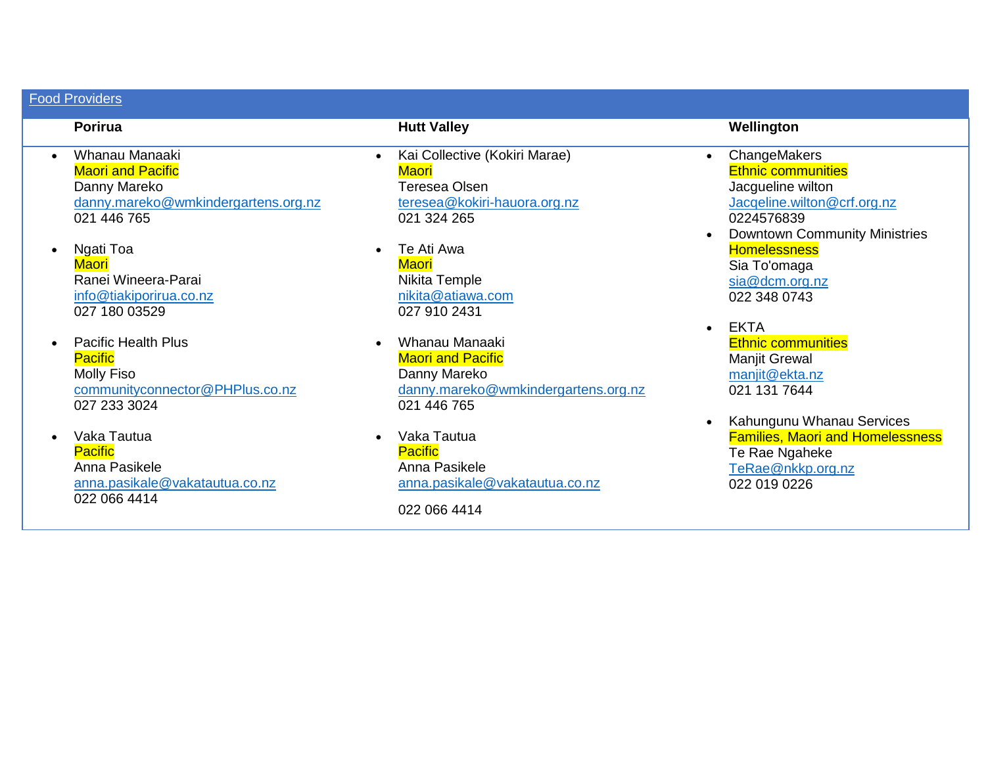# Food Providers

- Whanau Manaaki **Maori and Pacific** Danny Mareko [danny.mareko@wmkindergartens.org.nz](mailto:danny.mareko@wmkindergartens.org.nz) 021 446 765
- Ngati Toa **Maori** Ranei Wineera-Parai [info@tiakiporirua.co.nz](mailto:info@tiakiporirua.co.nz) 027 180 03529
- Pacific Health Plus **Pacific** Molly Fiso [communityconnector@PHPlus.co.nz](mailto:communityconnector@PHPlus.co.nz) 027 233 3024
- Vaka Tautua **Pacific** Anna Pasikele [anna.pasikale@vakatautua.co.nz](mailto:anna.pasikale@vakatautua.co.nz)  022 066 4414

- Kai Collective (Kokiri Marae) **Maori** Teresea Olsen [teresea@kokiri-hauora.org.nz](mailto:teresea@kokiri-hauora.org.nz) 021 324 265
- Te Ati Awa **Maori** Nikita Temple [nikita@atiawa.com](mailto:nikita@atiawa.com) 027 910 2431
- Whanau Manaaki **Maori and Pacific** Danny Mareko [danny.mareko@wmkindergartens.org.nz](mailto:danny.mareko@wmkindergartens.org.nz) 021 446 765
- Vaka Tautua **Pacific** Anna Pasikele [anna.pasikale@vakatautua.co.nz](mailto:anna.pasikale@vakatautua.co.nz)

022 066 4414

# **Porirua Hutt Valley Wellington**

- ChangeMakers Ethnic communities Jacgueline wilton [Jacqeline.wilton@crf.org.nz](mailto:Jacqeline.wilton@crf.org.nz) 0224576839 • Downtown Community Ministries
- **Homelessness** Sia To'omaga [sia@dcm.org.nz](mailto:sia@dcm.org.nz)  022 348 0743
- EKTA Ethnic communities Manjit Grewal [manjit@ekta.nz](mailto:manjit@ekta.nz) 021 131 7644
- Kahungunu Whanau Services Families, Maori and Homelessness Te Rae Ngaheke [TeRae@nkkp.org.nz](mailto:TeRae@nkkp.org.nz) 022 019 0226